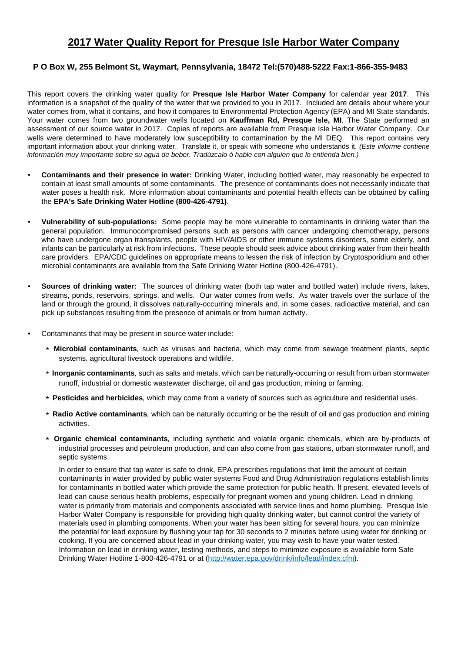# **2017 Water Quality Report for Presque Isle Harbor Water Company**

## **P O Box W, 255 Belmont St, Waymart, Pennsylvania, 18472 Tel:(570)488-5222 Fax:1-866-355-9483**

This report covers the drinking water quality for **Presque Isle Harbor Water Company** for calendar year **2017**. This information is a snapshot of the quality of the water that we provided to you in 2017. Included are details about where your water comes from, what it contains, and how it compares to Environmental Protection Agency (EPA) and MI State standards. Your water comes from two groundwater wells located on **Kauffman Rd, Presque Isle, MI**. The State performed an assessment of our source water in 2017. Copies of reports are available from Presque Isle Harbor Water Company. Our wells were determined to have moderately low susceptibility to contamination by the MI DEQ. This report contains very important information about your drinking water. Translate it, or speak with someone who understands it. (Este informe contiene información muy importante sobre su agua de beber. Tradúzcalo ó hable con alguien que lo entienda bien.)

- **Contaminants and their presence in water:** Drinking Water, including bottled water, may reasonably be expected to contain at least small amounts of some contaminants. The presence of contaminants does not necessarily indicate that water poses a health risk. More information about contaminants and potential health effects can be obtained by calling the **EPA's Safe Drinking Water Hotline (800-426-4791)**.
- **Vulnerability of sub-populations:** Some people may be more vulnerable to contaminants in drinking water than the general population. Immunocompromised persons such as persons with cancer undergoing chemotherapy, persons who have undergone organ transplants, people with HIV/AIDS or other immune systems disorders, some elderly, and infants can be particularly at risk from infections. These people should seek advice about drinking water from their health care providers. EPA/CDC guidelines on appropriate means to lessen the risk of infection by Cryptosporidium and other microbial contaminants are available from the Safe Drinking Water Hotline (800-426-4791).
- **Sources of drinking water:** The sources of drinking water (both tap water and bottled water) include rivers, lakes, streams, ponds, reservoirs, springs, and wells. Our water comes from wells. As water travels over the surface of the land or through the ground, it dissolves naturally-occurring minerals and, in some cases, radioactive material, and can pick up substances resulting from the presence of animals or from human activity.
- Contaminants that may be present in source water include:
	- ∗ **Microbial contaminants**, such as viruses and bacteria, which may come from sewage treatment plants, septic systems, agricultural livestock operations and wildlife.
	- ∗ **Inorganic contaminants**, such as salts and metals, which can be naturally-occurring or result from urban stormwater runoff, industrial or domestic wastewater discharge, oil and gas production, mining or farming.
	- ∗ **Pesticides and herbicides**, which may come from a variety of sources such as agriculture and residential uses.
	- ∗ **Radio Active contaminants**, which can be naturally occurring or be the result of oil and gas production and mining activities.
	- ∗ **Organic chemical contaminants**, including synthetic and volatile organic chemicals, which are by-products of industrial processes and petroleum production, and can also come from gas stations, urban stormwater runoff, and septic systems.

 In order to ensure that tap water is safe to drink, EPA prescribes regulations that limit the amount of certain contaminants in water provided by public water systems Food and Drug Administration regulations establish limits for contaminants in bottled water which provide the same protection for public health. If present, elevated levels of lead can cause serious health problems, especially for pregnant women and young children. Lead in drinking water is primarily from materials and components associated with service lines and home plumbing. Presque Isle Harbor Water Company is responsible for providing high quality drinking water, but cannot control the variety of materials used in plumbing components. When your water has been sitting for several hours, you can minimize the potential for lead exposure by flushing your tap for 30 seconds to 2 minutes before using water for drinking or cooking. If you are concerned about lead in your drinking water, you may wish to have your water tested. Information on lead in drinking water, testing methods, and steps to minimize exposure is available form Safe Drinking Water Hotline 1-800-426-4791 or at (http://water.epa.gov/drink/info/lead/index.cfm).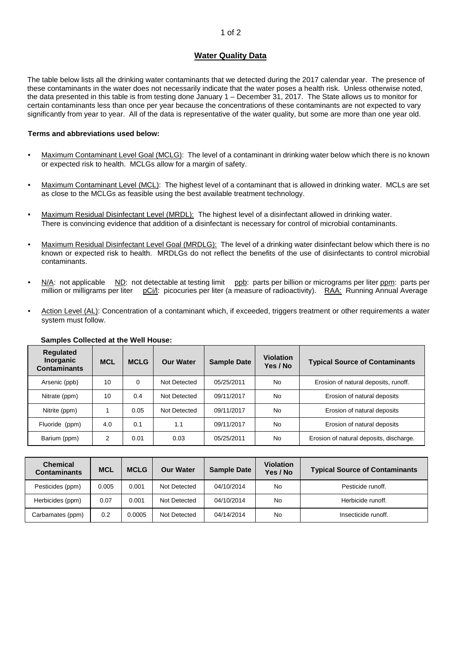### 1 of 2

## **Water Quality Data**

The table below lists all the drinking water contaminants that we detected during the 2017 calendar year. The presence of these contaminants in the water does not necessarily indicate that the water poses a health risk. Unless otherwise noted, the data presented in this table is from testing done January 1 – December 31, 2017. The State allows us to monitor for certain contaminants less than once per year because the concentrations of these contaminants are not expected to vary significantly from year to year. All of the data is representative of the water quality, but some are more than one year old.

## **Terms and abbreviations used below:**

- Maximum Contaminant Level Goal (MCLG): The level of a contaminant in drinking water below which there is no known or expected risk to health. MCLGs allow for a margin of safety.
- Maximum Contaminant Level (MCL): The highest level of a contaminant that is allowed in drinking water. MCLs are set as close to the MCLGs as feasible using the best available treatment technology.
- Maximum Residual Disinfectant Level (MRDL): The highest level of a disinfectant allowed in drinking water. There is convincing evidence that addition of a disinfectant is necessary for control of microbial contaminants.
- Maximum Residual Disinfectant Level Goal (MRDLG): The level of a drinking water disinfectant below which there is no known or expected risk to health. MRDLGs do not reflect the benefits of the use of disinfectants to control microbial contaminants.
- N/A: not applicable ND: not detectable at testing limit ppb: parts per billion or micrograms per liter ppm: parts per million or milligrams per liter pCi/l: picocuries per liter (a measure of radioactivity). RAA: Running Annual Average
- Action Level (AL): Concentration of a contaminant which, if exceeded, triggers treatment or other requirements a water system must follow.

| Regulated<br>Inorganic<br><b>Contaminants</b> | <b>MCL</b> | <b>MCLG</b> | <b>Our Water</b> | <b>Sample Date</b> | <b>Violation</b><br>Yes / No | <b>Typical Source of Contaminants</b>   |
|-----------------------------------------------|------------|-------------|------------------|--------------------|------------------------------|-----------------------------------------|
| Arsenic (ppb)                                 | 10         | $\Omega$    | Not Detected     | 05/25/2011         | No                           | Erosion of natural deposits, runoff.    |
| Nitrate (ppm)                                 | 10         | 0.4         | Not Detected     | 09/11/2017         | No                           | Erosion of natural deposits             |
| Nitrite (ppm)                                 |            | 0.05        | Not Detected     | 09/11/2017         | <b>No</b>                    | Erosion of natural deposits             |
| Fluoride (ppm)                                | 4.0        | 0.1         | 1.1              | 09/11/2017         | <b>No</b>                    | Erosion of natural deposits             |
| Barium (ppm)                                  | 2          | 0.01        | 0.03             | 05/25/2011         | <b>No</b>                    | Erosion of natural deposits, discharge. |

#### **Samples Collected at the Well House:**

| <b>Chemical</b><br><b>Contaminants</b> | <b>MCL</b> | <b>MCLG</b> | <b>Our Water</b> | <b>Sample Date</b> | <b>Violation</b><br>Yes / No | <b>Typical Source of Contaminants</b> |
|----------------------------------------|------------|-------------|------------------|--------------------|------------------------------|---------------------------------------|
| Pesticides (ppm)                       | 0.005      | 0.001       | Not Detected     | 04/10/2014         | No                           | Pesticide runoff.                     |
| Herbicides (ppm)                       | 0.07       | 0.001       | Not Detected     | 04/10/2014         | No                           | Herbicide runoff.                     |
| Carbamates (ppm)                       | 0.2        | 0.0005      | Not Detected     | 04/14/2014         | No                           | Insecticide runoff.                   |